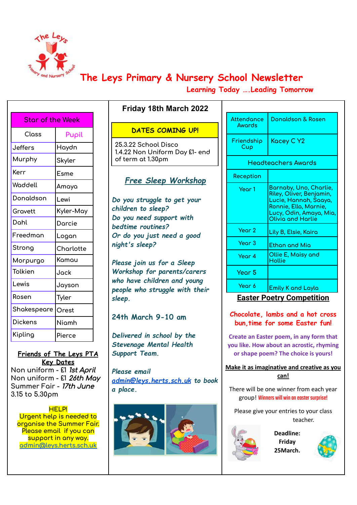

# **The Leys Primary & Nursery School Newsletter**

**Learning Today ….Leading Tomorrow**

| Star of the Week |           |  |  |  |
|------------------|-----------|--|--|--|
| Class            | Pupil     |  |  |  |
| <b>Jeffers</b>   | Haydn     |  |  |  |
| Murphy           | Skyler    |  |  |  |
| Kerr             | Esme      |  |  |  |
| Waddell          | Amaya     |  |  |  |
| Donaldson        | Lewi      |  |  |  |
| Gravett          | Kyler-May |  |  |  |
| Dohl             | Darcie    |  |  |  |
| Freedman         | Logan     |  |  |  |
| Strong           | Charlotte |  |  |  |
| Morpurgo         | Kamau     |  |  |  |
| Tolkien          | Jack      |  |  |  |
| Lewis            | Jayson    |  |  |  |
| Rosen            | Tyler     |  |  |  |
| Shakespeare      | Orest     |  |  |  |
| <b>Dickens</b>   | Niamh     |  |  |  |
| Kipling          | Pierce    |  |  |  |
|                  |           |  |  |  |

**Friends of The Leys PTA Key Dates Non uniform - £1** 1st April **Non uniform - £1** 26th May **Summer Fair -** 17th June **3.15 to 5.30pm**

**HELP! Urgent help is needed to organise the Summer Fair. Please email if you can support in any way. [admin@leys.herts.sch.uk](mailto:admin@leys.herts.sch.uk)**

# **DATES COMING UP!**

**Friday 18th March 2022**

**25.3.22 School Disco 1.4.22 Non Uniform Day £1- end of term at 1.30pm**

# *Free Sleep Workshop*

*Do you struggle to get your children to sleep? Do you need support with bedtime routines? Or do you just need a good night's sleep?*

*Please join us for a Sleep Workshop for parents/carers who have children and young people who struggle with their sleep.*

# **24th March 9-10 am**

*Delivered in school by the Stevenage Mental Health Support Team.*

*Please email [admin@leys.herts.sch.uk](mailto:admin@leys.herts.sch.uk) to book a place.*



| Attendance<br>Awords | Donaldson & Rosen                                                                                                                                    |  |
|----------------------|------------------------------------------------------------------------------------------------------------------------------------------------------|--|
| Friendship<br>Cup    | Kacey C Y2                                                                                                                                           |  |
|                      | Headteachers Awards                                                                                                                                  |  |
| Reception            |                                                                                                                                                      |  |
| Year 1               | Barnaby, Uno, Charlie,<br>Riley, Oliver, Benjamin,<br>Lucie, Hannah, Saaya,<br>Ronnie, Ella, Marnie,<br>Lucy, Odin, Amaya, Mia,<br>Olivia and Harlie |  |
| Year 2               | Lily B, Elsie, Kaira                                                                                                                                 |  |
| Year <sub>3</sub>    | Ethan and Mia                                                                                                                                        |  |
| Year 4               | Ollie E, Maisy and<br>Hollie                                                                                                                         |  |
| Year 5               |                                                                                                                                                      |  |
| Year 6               | <b>Emily K and Layla</b>                                                                                                                             |  |

# **Easter Poetry Competition**

**Chocolate, lambs and a hot cross bun,time for some Easter fun!**

**Create an Easter poem, in any form that you like. How about an acrostic, rhyming or shape poem? The choice is yours!**

**Make it as imaginative and creative as you can!**

There will be one winner from each year group! Winners will win an easter surprise!

Please give your entries to your class teacher.



**Deadline: Friday 25March.**

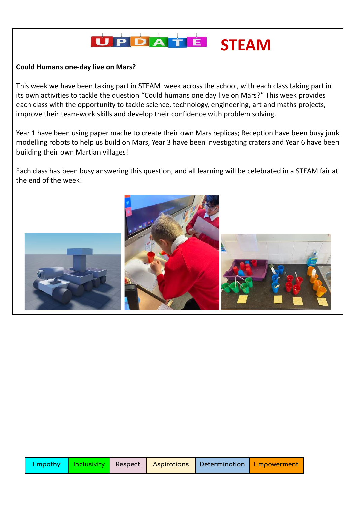

## **Could Humans one-day live on Mars?**

This week we have been taking part in STEAM week across the school, with each class taking part in its own activities to tackle the question "Could humans one day live on Mars?" This week provides each class with the opportunity to tackle science, technology, engineering, art and maths projects, improve their team-work skills and develop their confidence with problem solving.

Year 1 have been using paper mache to create their own Mars replicas; Reception have been busy junk modelling robots to help us build on Mars, Year 3 have been investigating craters and Year 6 have been building their own Martian villages!

Each class has been busy answering this question, and all learning will be celebrated in a STEAM fair at the end of the week!

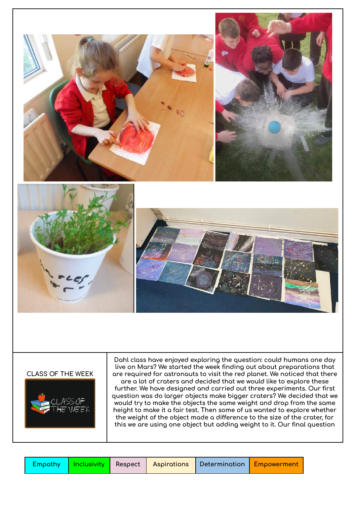

#### **CLASS OF THE WEEK**



**Dahl class have enjoyed exploring the question: could humans one day live on Mars? We started the week finding out about preparations that are required for astronauts to visit the red planet. We noticed that there are a lot of craters and decided that we would like to explore these further. We have designed and carried out three experiments. Our first question was do larger objects make bigger craters? We decided that we would try to make the objects the same weight and drop from the same height to make it a fair test. Then some of us wanted to explore whether the weight of the object made a difference to the size of the crater, for this we are using one object but adding weight to it. Our final question**

|  |  |  |  | <b>Empathy   Inclusivity  </b> Respect   Aspirations   Determination   Empowerment |  |  |
|--|--|--|--|------------------------------------------------------------------------------------|--|--|
|--|--|--|--|------------------------------------------------------------------------------------|--|--|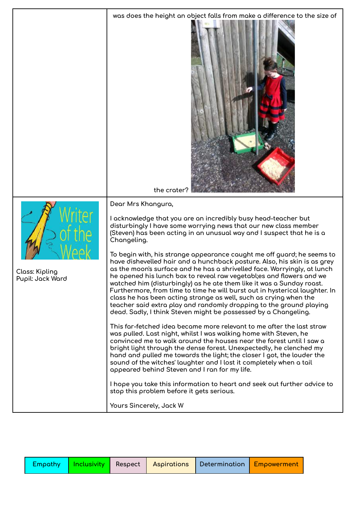|                                    | was does the height an object falls from make a difference to the size of<br>the crater?                                                                                                                                                                                                                                                                                                                                                                                                                                                                                                                                                                                                                                                                                                                                                                                                                                                                                                                                                                                                                                                                                                                                                                                                                                                                                                                                                                                                                                                                                             |  |  |
|------------------------------------|--------------------------------------------------------------------------------------------------------------------------------------------------------------------------------------------------------------------------------------------------------------------------------------------------------------------------------------------------------------------------------------------------------------------------------------------------------------------------------------------------------------------------------------------------------------------------------------------------------------------------------------------------------------------------------------------------------------------------------------------------------------------------------------------------------------------------------------------------------------------------------------------------------------------------------------------------------------------------------------------------------------------------------------------------------------------------------------------------------------------------------------------------------------------------------------------------------------------------------------------------------------------------------------------------------------------------------------------------------------------------------------------------------------------------------------------------------------------------------------------------------------------------------------------------------------------------------------|--|--|
| Class: Kipling<br>Pupil: Jack Ward | Dear Mrs Khangura,<br>I acknowledge that you are an incredibly busy head-teacher but<br>disturbingly I have some worrying news that our new class member<br>(Steven) has been acting in an unusual way and I suspect that he is a<br>Changeling.<br>To begin with, his strange appearance caught me off guard; he seems to<br>have dishevelled hair and a hunchback posture. Also, his skin is as grey<br>as the moon's surface and he has a shrivelled face. Worryingly, at lunch<br>he opened his lunch box to reveal raw vegetabl;es and flowers and we<br>watched him (disturbingly) as he ate them like it was a Sunday roast.<br>Furthermore, from time to time he will burst out in hysterical laughter. In<br>class he has been acting strange as well, such as crying when the<br>teacher said extra play and randomly dropping to the ground playing<br>dead. Sadly, I think Steven might be possessed by a Changeling.<br>This far-fetched idea became more relevant to me after the last straw<br>was pulled. Last night, whilst I was walking home with Steven, he<br>convinced me to walk around the houses near the forest until I saw a<br>bright light through the dense forest. Unexpectedly, he clenched my<br>hand and pulled me towards the light; the closer I got, the louder the<br>sound of the witches' laughter and I lost it completely when a tail<br>appeared behind Steven and I ran for my life.<br>I hope you take this information to heart and seek out further advice to<br>stop this problem before it gets serious.<br>Yours Sincerely, Jack W |  |  |

|  |  | Empathy <mark>  Inclusivity  </mark> Respect   Aspirations   Determination <mark>  Empowerment  </mark> |  |
|--|--|---------------------------------------------------------------------------------------------------------|--|
|  |  |                                                                                                         |  |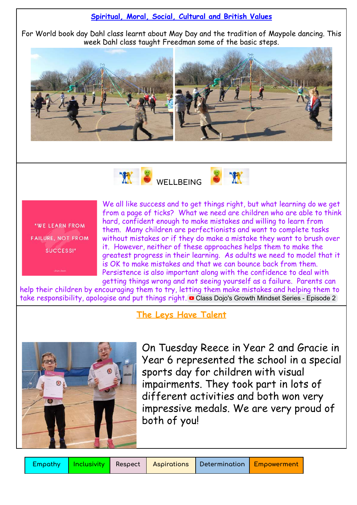## **Spiritual, Moral, Social, Cultural and British Values**

For World book day Dahl class learnt about May Day and the tradition of Maypole dancing. This week Dahl class taught Freedman some of the basic steps.





"WE LEARN FROM FAILURE, NOT FROM SUCCESS!"

We all like success and to get things right, but what learning do we get from a page of ticks? What we need are children who are able to think hard, confident enough to make mistakes and willing to learn from them. Many children are perfectionists and want to complete tasks without mistakes or if they do make a mistake they want to brush over it. However, neither of these approaches helps them to make the greatest progress in their learning. As adults we need to model that it is OK to make mistakes and that we can bounce back from them. Persistence is also important along with the confidence to deal with getting things wrong and not seeing yourself as a failure. Parents can

help their children by encouraging them to try, letting them make mistakes and helping them to take responsibility, apologise and put things right. Class Dojo's Growth Mindset Series - [Episode](https://www.youtube.com/watch?v=EoWLgWCcpWo&t=101s) 2

**The Leys Have Talent**



On Tuesday Reece in Year 2 and Gracie in Year 6 represented the school in a special sports day for children with visual impairments. They took part in lots of different activities and both won very impressive medals. We are very proud of both of you!

**Empathy Inclusivity Respect Aspirations Determination Empowerment**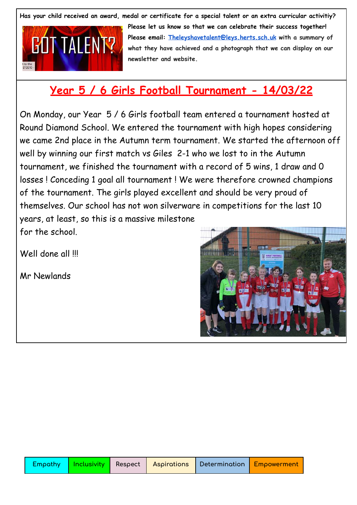Has your child received an award, medal or certificate for a special talent or an extra curricular activitiy?



**Please let us know so that we can celebrate their success together! Please email: [Theleyshavetalent@leys.herts.sch.uk](mailto:Theleyshavetalent@leys.herts.sch.uk) with a summary of what they have achieved and a photograph that we can display on our newsletter and website.**

# **Year 5 / 6 Girls Football Tournament - 14/03/22**

On Monday, our Year 5 / 6 Girls football team entered a tournament hosted at Round Diamond School. We entered the tournament with high hopes considering we came 2nd place in the Autumn term tournament. We started the afternoon off well by winning our first match vs Giles 2-1 who we lost to in the Autumn tournament, we finished the tournament with a record of 5 wins, 1 draw and 0 losses ! Conceding 1 goal all tournament ! We were therefore crowned champions of the tournament. The girls played excellent and should be very proud of themselves. Our school has not won silverware in competitions for the last 10 years, at least, so this is a massive milestone for the school.

Well done all !!!

Mr Newlands

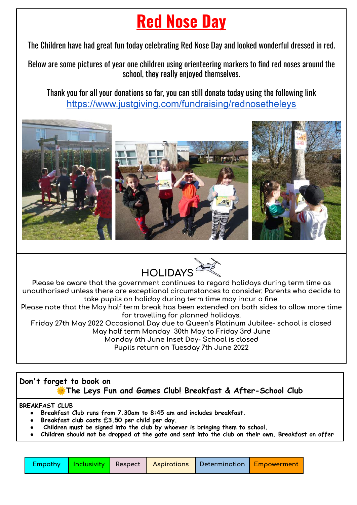# **Red Nose Day**

The Children have had great fun today celebrating Red Nose Day and looked wonderful dressed in red.

Below are some pictures of year one children using orienteering markers to find red noses around the school, they really enjoyed themselves.

Thank you for all your donations so far, you can still donate today using the following link <https://www.justgiving.com/fundraising/rednosetheleys>





**Please be aware that the government continues to regard holidays during term time as unauthorised unless there are exceptional circumstances to consider. Parents who decide to take pupils on holiday during term time may incur a fine.**

**Please note that the May half term break has been extended on both sides to allow more time for travelling for planned holidays.**

**Friday 27th May 2022 Occasional Day due to Queen's Platinum Jubilee- school is closed May half term Monday 30th May to Friday 3rd June Monday 6th June Inset Day- School is closed Pupils return on Tuesday 7th June 2022**

**Don't forget to book on The Leys Fun and Games Club! Breakfast & After-School Club**

## **BREAKFAST CLUB**

- **● Breakfast Club runs from 7.30am to 8:45 am and includes breakfast.**
- **● Breakfast club costs £3.50 per child per day.**
- **● Children must be signed into the club by whoever is bringing them to school.**
- Children should not be dropped at the gate and sent into the club on their own. Breakfast on offer

|  |  |  |  |  | <b>Empathy   Inclusivity  </b> Respect   Aspirations   Determination <mark>  Empowerment  </mark> |
|--|--|--|--|--|---------------------------------------------------------------------------------------------------|
|--|--|--|--|--|---------------------------------------------------------------------------------------------------|